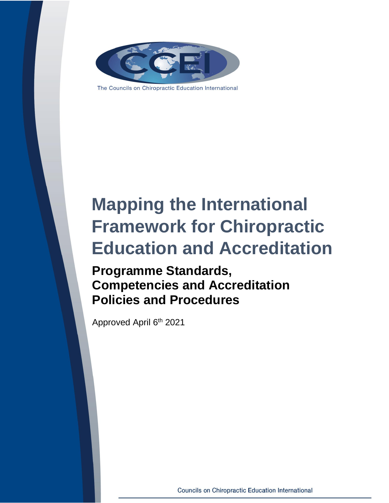

The Councils on Chiropractic Education International

## **Mapping the International Framework for Chiropractic Education and Accreditation**

**Programme Standards, Competencies and Accreditation Policies and Procedures**

Approved April 6<sup>th</sup> 2021

**Councils on Chiropractic Education International**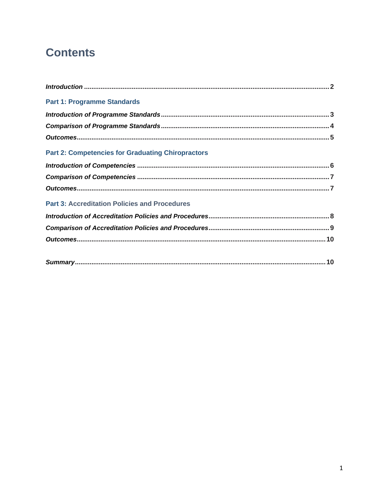## **Contents**

| <b>Part 1: Programme Standards</b>                       |
|----------------------------------------------------------|
|                                                          |
|                                                          |
|                                                          |
| <b>Part 2: Competencies for Graduating Chiropractors</b> |
|                                                          |
|                                                          |
|                                                          |
| <b>Part 3: Accreditation Policies and Procedures</b>     |
|                                                          |
|                                                          |
|                                                          |
|                                                          |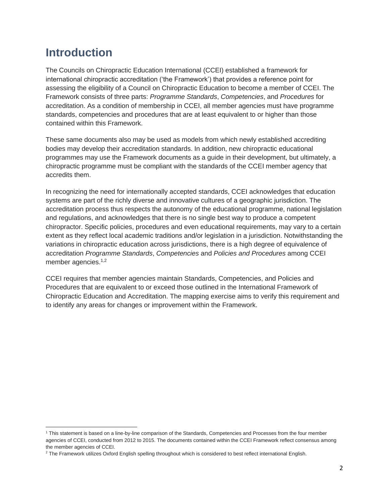## **Introduction**

The Councils on Chiropractic Education International (CCEI) established a framework for international chiropractic accreditation ('the Framework') that provides a reference point for assessing the eligibility of a Council on Chiropractic Education to become a member of CCEI. The Framework consists of three parts: *Programme Standards*, *Competencies*, and *Procedures* for accreditation. As a condition of membership in CCEI, all member agencies must have programme standards, competencies and procedures that are at least equivalent to or higher than those contained within this Framework.

These same documents also may be used as models from which newly established accrediting bodies may develop their accreditation standards. In addition, new chiropractic educational programmes may use the Framework documents as a guide in their development, but ultimately, a chiropractic programme must be compliant with the standards of the CCEI member agency that accredits them.

In recognizing the need for internationally accepted standards, CCEI acknowledges that education systems are part of the richly diverse and innovative cultures of a geographic jurisdiction. The accreditation process thus respects the autonomy of the educational programme, national legislation and regulations, and acknowledges that there is no single best way to produce a competent chiropractor. Specific policies, procedures and even educational requirements, may vary to a certain extent as they reflect local academic traditions and/or legislation in a jurisdiction. Notwithstanding the variations in chiropractic education across jurisdictions, there is a high degree of equivalence of accreditation *Programme Standards*, *Competencies* and *Policies and Procedures* among CCEI member agencies.<sup>1,2</sup>

CCEI requires that member agencies maintain Standards, Competencies, and Policies and Procedures that are equivalent to or exceed those outlined in the International Framework of Chiropractic Education and Accreditation. The mapping exercise aims to verify this requirement and to identify any areas for changes or improvement within the Framework.

<sup>1</sup> This statement is based on a line-by-line comparison of the Standards, Competencies and Processes from the four member agencies of CCEI, conducted from 2012 to 2015. The documents contained within the CCEI Framework reflect consensus among the member agencies of CCEI.

<sup>&</sup>lt;sup>2</sup> The Framework utilizes Oxford English spelling throughout which is considered to best reflect international English.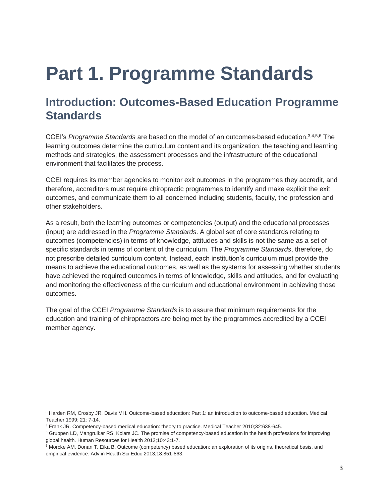# **Part 1. Programme Standards**

### <span id="page-3-0"></span>**Introduction: Outcomes-Based Education Programme Standards**

CCEI's *Programme Standards* are based on the model of an outcomes-based education.3,4,5,6 The learning outcomes determine the curriculum content and its organization, the teaching and learning methods and strategies, the assessment processes and the infrastructure of the educational environment that facilitates the process.

CCEI requires its member agencies to monitor exit outcomes in the programmes they accredit, and therefore, accreditors must require chiropractic programmes to identify and make explicit the exit outcomes, and communicate them to all concerned including students, faculty, the profession and other stakeholders.

As a result, both the learning outcomes or competencies (output) and the educational processes (input) are addressed in the *Programme Standards*. A global set of core standards relating to outcomes (competencies) in terms of knowledge, attitudes and skills is not the same as a set of specific standards in terms of content of the curriculum. The *Programme Standards*, therefore, do not prescribe detailed curriculum content. Instead, each institution's curriculum must provide the means to achieve the educational outcomes, as well as the systems for assessing whether students have achieved the required outcomes in terms of knowledge, skills and attitudes, and for evaluating and monitoring the effectiveness of the curriculum and educational environment in achieving those outcomes.

The goal of the CCEI *Programme Standards* is to assure that minimum requirements for the education and training of chiropractors are being met by the programmes accredited by a CCEI member agency.

<sup>3</sup> Harden RM, Crosby JR, Davis MH. Outcome-based education: Part 1: an introduction to outcome-based education. Medical Teacher 1999: 21: 7-14.

<sup>4</sup> Frank JR. Competency-based medical education: theory to practice. Medical Teacher 2010;32:638-645.

<sup>5</sup> Gruppen LD, Mangrulkar RS, Kolars JC. The promise of competency-based education in the health professions for improving global health. Human Resources for Health 2012;10:43:1-7.

<sup>6</sup> Morcke AM, Donan T, Eika B. Outcome (competency) based education: an exploration of its origins, theoretical basis, and empirical evidence. Adv in Health Sci Educ 2013;18:851-863.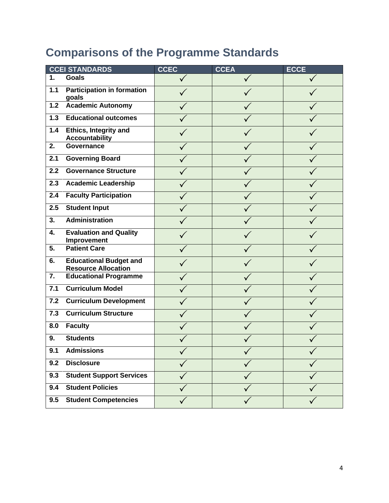## **Comparisons of the Programme Standards**

|                  | <b>CCEI STANDARDS</b>                                       | <b>CCEC</b> | <b>CCEA</b>  | <b>ECCE</b> |
|------------------|-------------------------------------------------------------|-------------|--------------|-------------|
| $\mathbf{1}$ .   | <b>Goals</b>                                                |             | $\checkmark$ |             |
| 1.1              | <b>Participation in formation</b><br>goals                  |             |              |             |
| $1.2$            | <b>Academic Autonomy</b>                                    |             |              |             |
| 1.3              | <b>Educational outcomes</b>                                 |             |              |             |
| 1.4              | <b>Ethics, Integrity and</b><br><b>Accountability</b>       |             |              |             |
| 2.               | <b>Governance</b>                                           |             |              |             |
| 2.1              | <b>Governing Board</b>                                      |             |              |             |
| 2.2              | <b>Governance Structure</b>                                 |             |              |             |
| 2.3              | <b>Academic Leadership</b>                                  |             |              |             |
| 2.4              | <b>Faculty Participation</b>                                |             |              |             |
| 2.5              | <b>Student Input</b>                                        |             |              |             |
| 3.               | <b>Administration</b>                                       |             |              |             |
| 4.               | <b>Evaluation and Quality</b><br>Improvement                |             |              |             |
| 5.               | <b>Patient Care</b>                                         |             |              |             |
| 6.               | <b>Educational Budget and</b><br><b>Resource Allocation</b> |             |              |             |
| $\overline{7}$ . | <b>Educational Programme</b>                                |             |              |             |
| 7.1              | <b>Curriculum Model</b>                                     |             |              |             |
| 7.2              | <b>Curriculum Development</b>                               |             |              |             |
| 7.3              | <b>Curriculum Structure</b>                                 |             |              |             |
| 8.0              | <b>Faculty</b>                                              |             |              |             |
| 9.               | <b>Students</b>                                             |             |              |             |
| 9.1              | <b>Admissions</b>                                           |             |              |             |
| 9.2              | <b>Disclosure</b>                                           |             |              |             |
| 9.3              | <b>Student Support Services</b>                             |             |              |             |
| 9.4              | <b>Student Policies</b>                                     |             |              |             |
| 9.5              | <b>Student Competencies</b>                                 |             |              |             |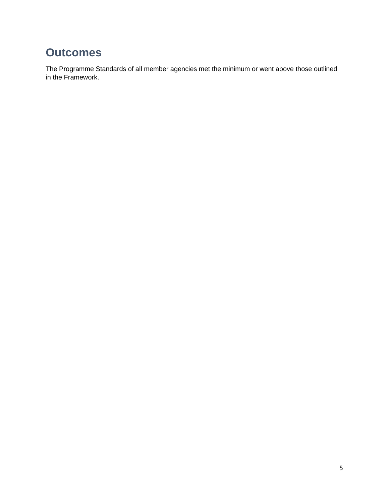### **Outcomes**

The Programme Standards of all member agencies met the minimum or went above those outlined in the Framework.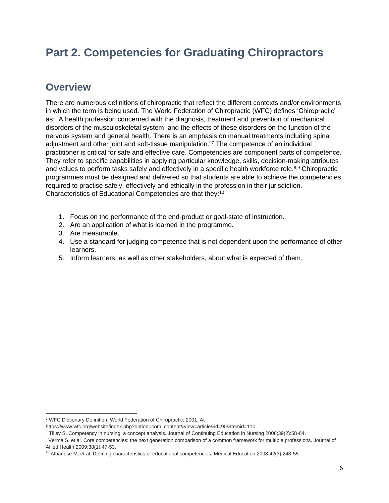## **Part 2. Competencies for Graduating Chiropractors**

#### **Overview**

There are numerous definitions of chiropractic that reflect the different contexts and/or environments in which the term is being used. The World Federation of Chiropractic (WFC) defines 'Chiropractic' as: "A health profession concerned with the diagnosis, treatment and prevention of mechanical disorders of the musculoskeletal system, and the effects of these disorders on the function of the nervous system and general health. There is an emphasis on manual treatments including spinal adjustment and other joint and soft-tissue manipulation."<sup>7</sup> The competence of an individual practitioner is critical for safe and effective care. Competencies are component parts of competence. They refer to specific capabilities in applying particular knowledge, skills, decision-making attributes and values to perform tasks safely and effectively in a specific health workforce role.<sup>8,9</sup> Chiropractic programmes must be designed and delivered so that students are able to achieve the competencies required to practise safely, effectively and ethically in the profession in their jurisdiction. Characteristics of Educational Competencies are that they:<sup>10</sup>

- 1. Focus on the performance of the end-product or goal-state of instruction.
- 2. Are an application of what is learned in the programme.
- 3. Are measurable.
- 4. Use a standard for judging competence that is not dependent upon the performance of other learners.
- 5. Inform learners, as well as other stakeholders, about what is expected of them.

<sup>7</sup> WFC Dictionary Definition. World Federation of Chiropractic; 2001. At

https://www.wfc.org/website/index.php?option=com\_content&view=article&id=90&Itemid=110

<sup>8</sup> Tilley S. Competency in nursing: a concept analysis. Journal of Continuing Education in Nursing 2008;39(2):58-64.

<sup>&</sup>lt;sup>9</sup> Verma S, et al. Core competencies: the next generation comparison of a common framework for multiple professions. Journal of Allied Health 2009;38(1):47-53.

<sup>10</sup> Albanese M, et al. Defining characteristics of educational competencies. Medical Education 2008;42(3):248-55.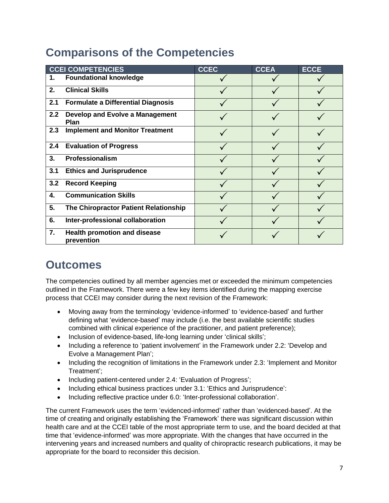## **Comparisons of the Competencies**

|               | <b>CCEI COMPETENCIES</b>                          | CCEC | <b>CCEA</b> | <b>ECCE</b> |
|---------------|---------------------------------------------------|------|-------------|-------------|
| 1.            | <b>Foundational knowledge</b>                     |      |             |             |
| 2.            | <b>Clinical Skills</b>                            |      |             |             |
| 2.1           | <b>Formulate a Differential Diagnosis</b>         |      |             |             |
| $2.2^{\circ}$ | Develop and Evolve a Management<br>Plan           |      |             |             |
| 2.3           | <b>Implement and Monitor Treatment</b>            |      |             |             |
| 2.4           | <b>Evaluation of Progress</b>                     |      |             |             |
| 3.            | Professionalism                                   |      |             |             |
| 3.1           | <b>Ethics and Jurisprudence</b>                   |      |             |             |
| 3.2           | <b>Record Keeping</b>                             |      |             |             |
| 4.            | <b>Communication Skills</b>                       |      |             |             |
| 5.            | The Chiropractor Patient Relationship             |      |             |             |
| 6.            | Inter-professional collaboration                  |      |             |             |
| 7.            | <b>Health promotion and disease</b><br>prevention |      |             |             |

## **Outcomes**

The competencies outlined by all member agencies met or exceeded the minimum competencies outlined in the Framework. There were a few key items identified during the mapping exercise process that CCEI may consider during the next revision of the Framework:

- Moving away from the terminology 'evidence-informed' to 'evidence-based' and further defining what 'evidence-based' may include (i.e. the best available scientific studies combined with clinical experience of the practitioner, and patient preference);
- Inclusion of evidence-based, life-long learning under 'clinical skills';
- Including a reference to 'patient involvement' in the Framework under 2.2: 'Develop and Evolve a Management Plan';
- Including the recognition of limitations in the Framework under 2.3: 'Implement and Monitor Treatment';
- Including patient-centered under 2.4: 'Evaluation of Progress';
- Including ethical business practices under 3.1: 'Ethics and Jurisprudence':
- Including reflective practice under 6.0: 'Inter-professional collaboration'.

The current Framework uses the term 'evidenced-informed' rather than 'evidenced-based'. At the time of creating and originally establishing the 'Framework' there was significant discussion within health care and at the CCEI table of the most appropriate term to use, and the board decided at that time that 'evidence-informed' was more appropriate. With the changes that have occurred in the intervening years and increased numbers and quality of chiropractic research publications, it may be appropriate for the board to reconsider this decision.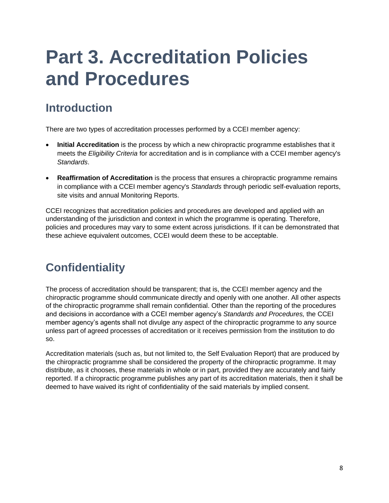# **Part 3. Accreditation Policies and Procedures**

## **Introduction**

There are two types of accreditation processes performed by a CCEI member agency:

- **Initial Accreditation** is the process by which a new chiropractic programme establishes that it meets the *Eligibility Criteria* for accreditation and is in compliance with a CCEI member agency's *Standards*.
- **Reaffirmation of Accreditation** is the process that ensures a chiropractic programme remains in compliance with a CCEI member agency's *Standards* through periodic self-evaluation reports, site visits and annual Monitoring Reports.

CCEI recognizes that accreditation policies and procedures are developed and applied with an understanding of the jurisdiction and context in which the programme is operating. Therefore, policies and procedures may vary to some extent across jurisdictions. If it can be demonstrated that these achieve equivalent outcomes, CCEI would deem these to be acceptable.

## **Confidentiality**

The process of accreditation should be transparent; that is, the CCEI member agency and the chiropractic programme should communicate directly and openly with one another. All other aspects of the chiropractic programme shall remain confidential. Other than the reporting of the procedures and decisions in accordance with a CCEI member agency's *Standards and Procedures,* the CCEI member agency's agents shall not divulge any aspect of the chiropractic programme to any source unless part of agreed processes of accreditation or it receives permission from the institution to do so.

Accreditation materials (such as, but not limited to, the Self Evaluation Report) that are produced by the chiropractic programme shall be considered the property of the chiropractic programme. It may distribute, as it chooses, these materials in whole or in part, provided they are accurately and fairly reported. If a chiropractic programme publishes any part of its accreditation materials, then it shall be deemed to have waived its right of confidentiality of the said materials by implied consent.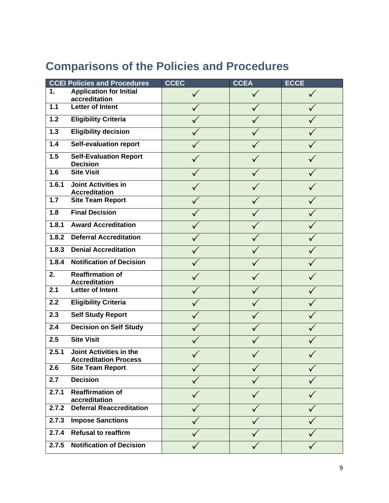|  | <b>Comparisons of the Policies and Procedures</b> |  |  |  |  |
|--|---------------------------------------------------|--|--|--|--|
|--|---------------------------------------------------|--|--|--|--|

|       | <b>CCEI Policies and Procedures</b>                            | <b>CCEC</b> | <b>CCEA</b>  | <b>ECCE</b> |
|-------|----------------------------------------------------------------|-------------|--------------|-------------|
| 1.    | <b>Application for Initial</b>                                 |             |              |             |
|       | accreditation                                                  |             |              |             |
| 1.1   | <b>Letter of Intent</b>                                        |             |              |             |
| $1.2$ | <b>Eligibility Criteria</b>                                    |             |              |             |
| 1.3   | <b>Eligibility decision</b>                                    |             |              |             |
| 1.4   | <b>Self-evaluation report</b>                                  |             |              |             |
| 1.5   | <b>Self-Evaluation Report</b><br><b>Decision</b>               |             |              |             |
| 1.6   | <b>Site Visit</b>                                              |             |              |             |
| 1.6.1 | <b>Joint Activities in</b><br><b>Accreditation</b>             |             |              |             |
| $1.7$ | <b>Site Team Report</b>                                        |             |              |             |
| 1.8   | <b>Final Decision</b>                                          |             |              |             |
| 1.8.1 | <b>Award Accreditation</b>                                     |             |              |             |
| 1.8.2 | <b>Deferral Accreditation</b>                                  |             |              |             |
| 1.8.3 | <b>Denial Accreditation</b>                                    |             |              |             |
| 1.8.4 | <b>Notification of Decision</b>                                |             |              |             |
| 2.    | <b>Reaffirmation of</b><br><b>Accreditation</b>                |             |              |             |
| 2.1   | <b>Letter of Intent</b>                                        |             |              |             |
| 2.2   | <b>Eligibility Criteria</b>                                    |             |              |             |
| 2.3   | <b>Self Study Report</b>                                       |             |              |             |
| 2.4   | <b>Decision on Self Study</b>                                  |             |              |             |
| 2.5   | <b>Site Visit</b>                                              |             |              |             |
| 2.5.1 | <b>Joint Activities in the</b><br><b>Accreditation Process</b> |             |              |             |
| 2.6   | <b>Site Team Report</b>                                        |             |              |             |
| 2.7   | <b>Decision</b>                                                |             |              |             |
| 2.7.1 | <b>Reaffirmation of</b><br>accreditation                       |             |              |             |
| 2.7.2 | <b>Deferral Reaccreditation</b>                                |             |              |             |
| 2.7.3 | <b>Impose Sanctions</b>                                        |             |              |             |
| 2.7.4 | <b>Refusal to reaffirm</b>                                     |             |              |             |
| 2.7.5 | <b>Notification of Decision</b>                                |             | $\checkmark$ |             |